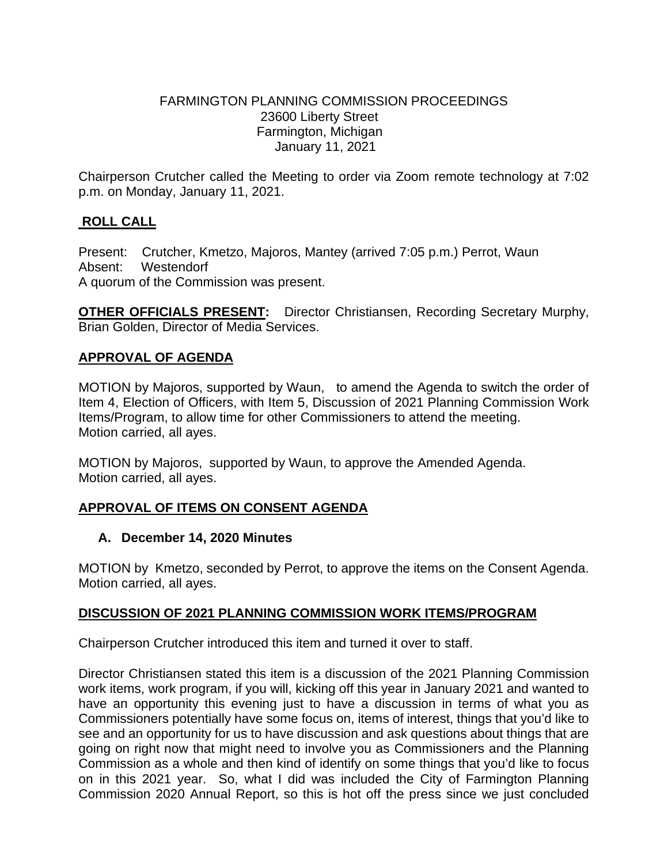### FARMINGTON PLANNING COMMISSION PROCEEDINGS 23600 Liberty Street Farmington, Michigan January 11, 2021

Chairperson Crutcher called the Meeting to order via Zoom remote technology at 7:02 p.m. on Monday, January 11, 2021.

# **ROLL CALL**

Present: Crutcher, Kmetzo, Majoros, Mantey (arrived 7:05 p.m.) Perrot, Waun Absent: Westendorf A quorum of the Commission was present.

**OTHER OFFICIALS PRESENT:** Director Christiansen, Recording Secretary Murphy, Brian Golden, Director of Media Services.

### **APPROVAL OF AGENDA**

MOTION by Majoros, supported by Waun, to amend the Agenda to switch the order of Item 4, Election of Officers, with Item 5, Discussion of 2021 Planning Commission Work Items/Program, to allow time for other Commissioners to attend the meeting. Motion carried, all ayes.

MOTION by Majoros, supported by Waun, to approve the Amended Agenda. Motion carried, all ayes.

# **APPROVAL OF ITEMS ON CONSENT AGENDA**

#### **A. December 14, 2020 Minutes**

MOTION by Kmetzo, seconded by Perrot, to approve the items on the Consent Agenda. Motion carried, all ayes.

#### **DISCUSSION OF 2021 PLANNING COMMISSION WORK ITEMS/PROGRAM**

Chairperson Crutcher introduced this item and turned it over to staff.

Director Christiansen stated this item is a discussion of the 2021 Planning Commission work items, work program, if you will, kicking off this year in January 2021 and wanted to have an opportunity this evening just to have a discussion in terms of what you as Commissioners potentially have some focus on, items of interest, things that you'd like to see and an opportunity for us to have discussion and ask questions about things that are going on right now that might need to involve you as Commissioners and the Planning Commission as a whole and then kind of identify on some things that you'd like to focus on in this 2021 year. So, what I did was included the City of Farmington Planning Commission 2020 Annual Report, so this is hot off the press since we just concluded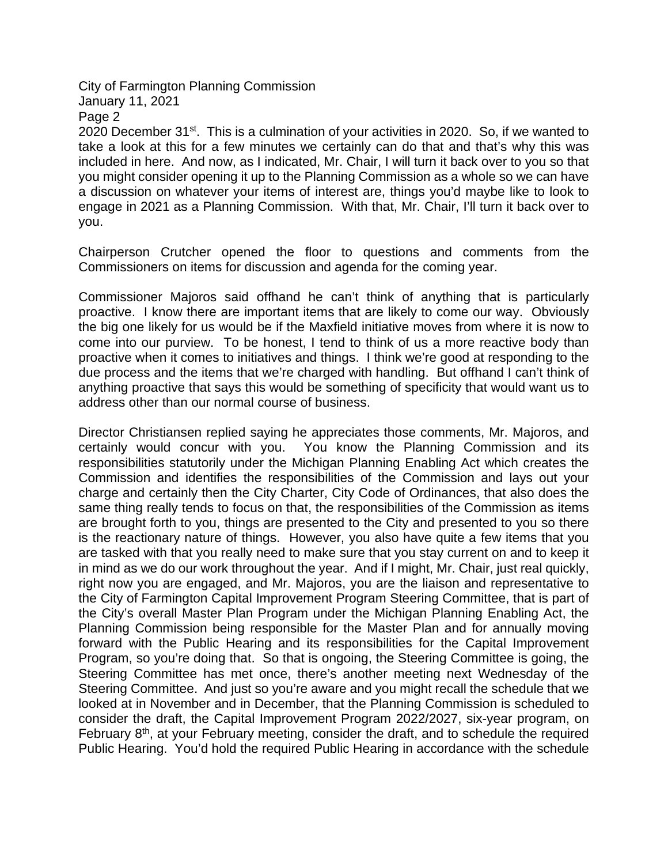Page 2

2020 December 31<sup>st</sup>. This is a culmination of your activities in 2020. So, if we wanted to take a look at this for a few minutes we certainly can do that and that's why this was included in here. And now, as I indicated, Mr. Chair, I will turn it back over to you so that you might consider opening it up to the Planning Commission as a whole so we can have a discussion on whatever your items of interest are, things you'd maybe like to look to engage in 2021 as a Planning Commission. With that, Mr. Chair, I'll turn it back over to you.

Chairperson Crutcher opened the floor to questions and comments from the Commissioners on items for discussion and agenda for the coming year.

Commissioner Majoros said offhand he can't think of anything that is particularly proactive. I know there are important items that are likely to come our way. Obviously the big one likely for us would be if the Maxfield initiative moves from where it is now to come into our purview. To be honest, I tend to think of us a more reactive body than proactive when it comes to initiatives and things. I think we're good at responding to the due process and the items that we're charged with handling. But offhand I can't think of anything proactive that says this would be something of specificity that would want us to address other than our normal course of business.

Director Christiansen replied saying he appreciates those comments, Mr. Majoros, and certainly would concur with you. You know the Planning Commission and its responsibilities statutorily under the Michigan Planning Enabling Act which creates the Commission and identifies the responsibilities of the Commission and lays out your charge and certainly then the City Charter, City Code of Ordinances, that also does the same thing really tends to focus on that, the responsibilities of the Commission as items are brought forth to you, things are presented to the City and presented to you so there is the reactionary nature of things. However, you also have quite a few items that you are tasked with that you really need to make sure that you stay current on and to keep it in mind as we do our work throughout the year. And if I might, Mr. Chair, just real quickly, right now you are engaged, and Mr. Majoros, you are the liaison and representative to the City of Farmington Capital Improvement Program Steering Committee, that is part of the City's overall Master Plan Program under the Michigan Planning Enabling Act, the Planning Commission being responsible for the Master Plan and for annually moving forward with the Public Hearing and its responsibilities for the Capital Improvement Program, so you're doing that. So that is ongoing, the Steering Committee is going, the Steering Committee has met once, there's another meeting next Wednesday of the Steering Committee. And just so you're aware and you might recall the schedule that we looked at in November and in December, that the Planning Commission is scheduled to consider the draft, the Capital Improvement Program 2022/2027, six-year program, on February  $8<sup>th</sup>$ , at your February meeting, consider the draft, and to schedule the required Public Hearing. You'd hold the required Public Hearing in accordance with the schedule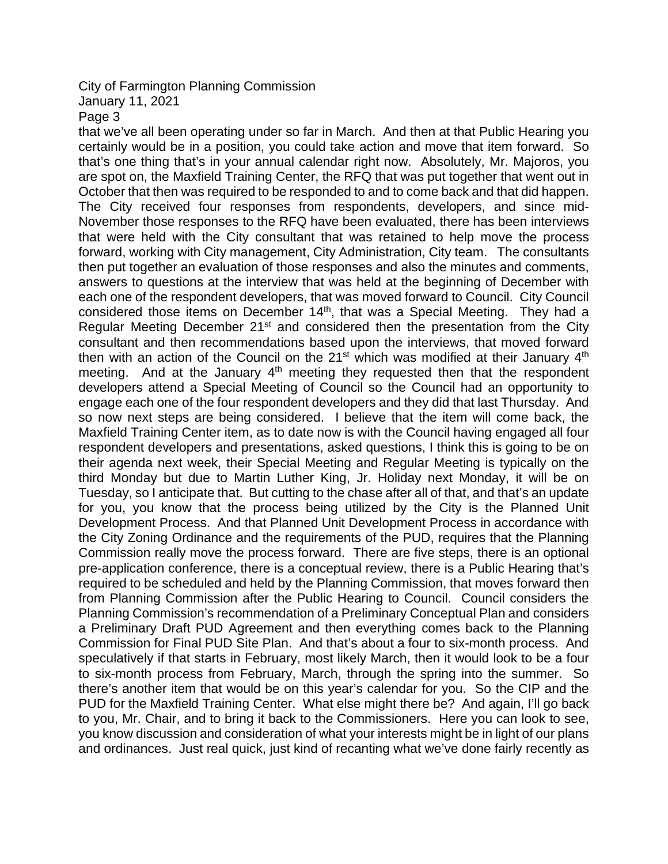### January 11, 2021

Page 3

that we've all been operating under so far in March. And then at that Public Hearing you certainly would be in a position, you could take action and move that item forward. So that's one thing that's in your annual calendar right now. Absolutely, Mr. Majoros, you are spot on, the Maxfield Training Center, the RFQ that was put together that went out in October that then was required to be responded to and to come back and that did happen. The City received four responses from respondents, developers, and since mid-November those responses to the RFQ have been evaluated, there has been interviews that were held with the City consultant that was retained to help move the process forward, working with City management, City Administration, City team. The consultants then put together an evaluation of those responses and also the minutes and comments, answers to questions at the interview that was held at the beginning of December with each one of the respondent developers, that was moved forward to Council. City Council considered those items on December 14th, that was a Special Meeting. They had a Regular Meeting December  $21<sup>st</sup>$  and considered then the presentation from the City consultant and then recommendations based upon the interviews, that moved forward then with an action of the Council on the  $21<sup>st</sup>$  which was modified at their January  $4<sup>th</sup>$ meeting. And at the January  $4<sup>th</sup>$  meeting they requested then that the respondent developers attend a Special Meeting of Council so the Council had an opportunity to engage each one of the four respondent developers and they did that last Thursday. And so now next steps are being considered. I believe that the item will come back, the Maxfield Training Center item, as to date now is with the Council having engaged all four respondent developers and presentations, asked questions, I think this is going to be on their agenda next week, their Special Meeting and Regular Meeting is typically on the third Monday but due to Martin Luther King, Jr. Holiday next Monday, it will be on Tuesday, so I anticipate that. But cutting to the chase after all of that, and that's an update for you, you know that the process being utilized by the City is the Planned Unit Development Process. And that Planned Unit Development Process in accordance with the City Zoning Ordinance and the requirements of the PUD, requires that the Planning Commission really move the process forward. There are five steps, there is an optional pre-application conference, there is a conceptual review, there is a Public Hearing that's required to be scheduled and held by the Planning Commission, that moves forward then from Planning Commission after the Public Hearing to Council. Council considers the Planning Commission's recommendation of a Preliminary Conceptual Plan and considers a Preliminary Draft PUD Agreement and then everything comes back to the Planning Commission for Final PUD Site Plan. And that's about a four to six-month process. And speculatively if that starts in February, most likely March, then it would look to be a four to six-month process from February, March, through the spring into the summer. So there's another item that would be on this year's calendar for you. So the CIP and the PUD for the Maxfield Training Center. What else might there be? And again, I'll go back to you, Mr. Chair, and to bring it back to the Commissioners. Here you can look to see, you know discussion and consideration of what your interests might be in light of our plans and ordinances. Just real quick, just kind of recanting what we've done fairly recently as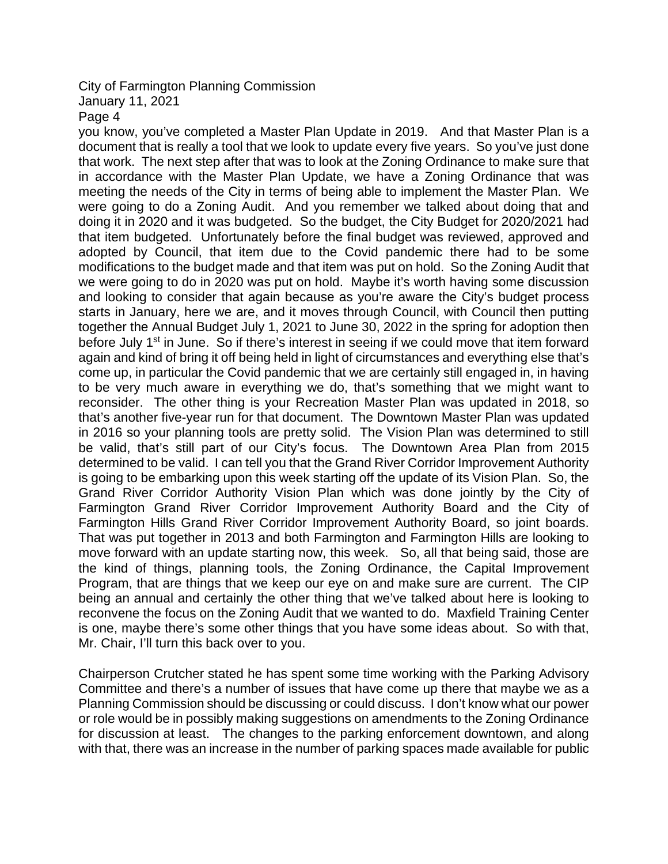# January 11, 2021

Page 4

you know, you've completed a Master Plan Update in 2019. And that Master Plan is a document that is really a tool that we look to update every five years. So you've just done that work. The next step after that was to look at the Zoning Ordinance to make sure that in accordance with the Master Plan Update, we have a Zoning Ordinance that was meeting the needs of the City in terms of being able to implement the Master Plan. We were going to do a Zoning Audit. And you remember we talked about doing that and doing it in 2020 and it was budgeted. So the budget, the City Budget for 2020/2021 had that item budgeted. Unfortunately before the final budget was reviewed, approved and adopted by Council, that item due to the Covid pandemic there had to be some modifications to the budget made and that item was put on hold. So the Zoning Audit that we were going to do in 2020 was put on hold. Maybe it's worth having some discussion and looking to consider that again because as you're aware the City's budget process starts in January, here we are, and it moves through Council, with Council then putting together the Annual Budget July 1, 2021 to June 30, 2022 in the spring for adoption then before July 1<sup>st</sup> in June. So if there's interest in seeing if we could move that item forward again and kind of bring it off being held in light of circumstances and everything else that's come up, in particular the Covid pandemic that we are certainly still engaged in, in having to be very much aware in everything we do, that's something that we might want to reconsider. The other thing is your Recreation Master Plan was updated in 2018, so that's another five-year run for that document. The Downtown Master Plan was updated in 2016 so your planning tools are pretty solid. The Vision Plan was determined to still be valid, that's still part of our City's focus. The Downtown Area Plan from 2015 determined to be valid. I can tell you that the Grand River Corridor Improvement Authority is going to be embarking upon this week starting off the update of its Vision Plan. So, the Grand River Corridor Authority Vision Plan which was done jointly by the City of Farmington Grand River Corridor Improvement Authority Board and the City of Farmington Hills Grand River Corridor Improvement Authority Board, so joint boards. That was put together in 2013 and both Farmington and Farmington Hills are looking to move forward with an update starting now, this week. So, all that being said, those are the kind of things, planning tools, the Zoning Ordinance, the Capital Improvement Program, that are things that we keep our eye on and make sure are current. The CIP being an annual and certainly the other thing that we've talked about here is looking to reconvene the focus on the Zoning Audit that we wanted to do. Maxfield Training Center is one, maybe there's some other things that you have some ideas about. So with that, Mr. Chair, I'll turn this back over to you.

Chairperson Crutcher stated he has spent some time working with the Parking Advisory Committee and there's a number of issues that have come up there that maybe we as a Planning Commission should be discussing or could discuss. I don't know what our power or role would be in possibly making suggestions on amendments to the Zoning Ordinance for discussion at least. The changes to the parking enforcement downtown, and along with that, there was an increase in the number of parking spaces made available for public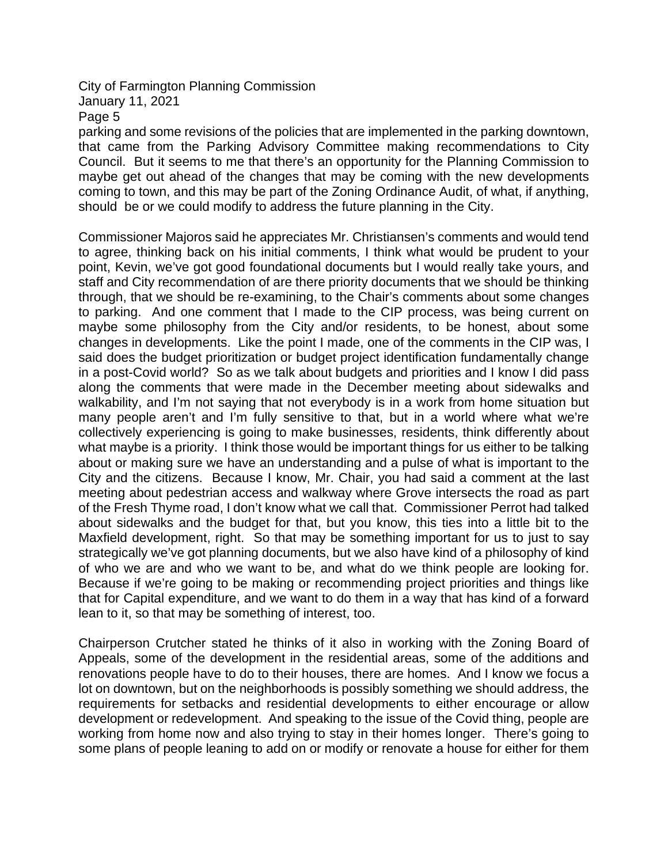January 11, 2021

Page 5

parking and some revisions of the policies that are implemented in the parking downtown, that came from the Parking Advisory Committee making recommendations to City Council. But it seems to me that there's an opportunity for the Planning Commission to maybe get out ahead of the changes that may be coming with the new developments coming to town, and this may be part of the Zoning Ordinance Audit, of what, if anything, should be or we could modify to address the future planning in the City.

Commissioner Majoros said he appreciates Mr. Christiansen's comments and would tend to agree, thinking back on his initial comments, I think what would be prudent to your point, Kevin, we've got good foundational documents but I would really take yours, and staff and City recommendation of are there priority documents that we should be thinking through, that we should be re-examining, to the Chair's comments about some changes to parking. And one comment that I made to the CIP process, was being current on maybe some philosophy from the City and/or residents, to be honest, about some changes in developments. Like the point I made, one of the comments in the CIP was, I said does the budget prioritization or budget project identification fundamentally change in a post-Covid world? So as we talk about budgets and priorities and I know I did pass along the comments that were made in the December meeting about sidewalks and walkability, and I'm not saying that not everybody is in a work from home situation but many people aren't and I'm fully sensitive to that, but in a world where what we're collectively experiencing is going to make businesses, residents, think differently about what maybe is a priority. I think those would be important things for us either to be talking about or making sure we have an understanding and a pulse of what is important to the City and the citizens. Because I know, Mr. Chair, you had said a comment at the last meeting about pedestrian access and walkway where Grove intersects the road as part of the Fresh Thyme road, I don't know what we call that. Commissioner Perrot had talked about sidewalks and the budget for that, but you know, this ties into a little bit to the Maxfield development, right. So that may be something important for us to just to say strategically we've got planning documents, but we also have kind of a philosophy of kind of who we are and who we want to be, and what do we think people are looking for. Because if we're going to be making or recommending project priorities and things like that for Capital expenditure, and we want to do them in a way that has kind of a forward lean to it, so that may be something of interest, too.

Chairperson Crutcher stated he thinks of it also in working with the Zoning Board of Appeals, some of the development in the residential areas, some of the additions and renovations people have to do to their houses, there are homes. And I know we focus a lot on downtown, but on the neighborhoods is possibly something we should address, the requirements for setbacks and residential developments to either encourage or allow development or redevelopment. And speaking to the issue of the Covid thing, people are working from home now and also trying to stay in their homes longer. There's going to some plans of people leaning to add on or modify or renovate a house for either for them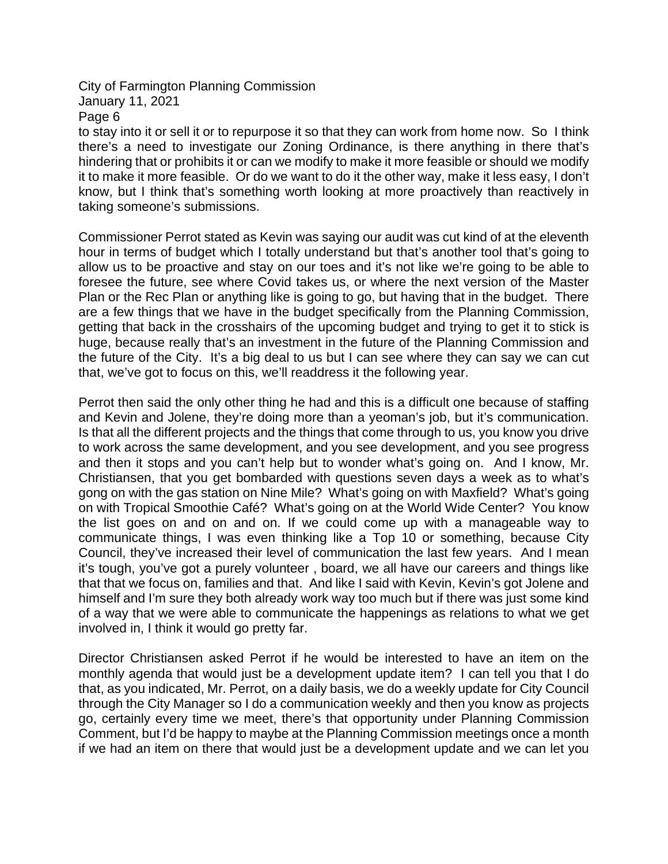Page 6

to stay into it or sell it or to repurpose it so that they can work from home now. So I think there's a need to investigate our Zoning Ordinance, is there anything in there that's hindering that or prohibits it or can we modify to make it more feasible or should we modify it to make it more feasible. Or do we want to do it the other way, make it less easy, I don't know, but I think that's something worth looking at more proactively than reactively in taking someone's submissions.

Commissioner Perrot stated as Kevin was saying our audit was cut kind of at the eleventh hour in terms of budget which I totally understand but that's another tool that's going to allow us to be proactive and stay on our toes and it's not like we're going to be able to foresee the future, see where Covid takes us, or where the next version of the Master Plan or the Rec Plan or anything like is going to go, but having that in the budget. There are a few things that we have in the budget specifically from the Planning Commission, getting that back in the crosshairs of the upcoming budget and trying to get it to stick is huge, because really that's an investment in the future of the Planning Commission and the future of the City. It's a big deal to us but I can see where they can say we can cut that, we've got to focus on this, we'll readdress it the following year.

Perrot then said the only other thing he had and this is a difficult one because of staffing and Kevin and Jolene, they're doing more than a yeoman's job, but it's communication. Is that all the different projects and the things that come through to us, you know you drive to work across the same development, and you see development, and you see progress and then it stops and you can't help but to wonder what's going on. And I know, Mr. Christiansen, that you get bombarded with questions seven days a week as to what's gong on with the gas station on Nine Mile? What's going on with Maxfield? What's going on with Tropical Smoothie Café? What's going on at the World Wide Center? You know the list goes on and on and on. If we could come up with a manageable way to communicate things, I was even thinking like a Top 10 or something, because City Council, they've increased their level of communication the last few years. And I mean it's tough, you've got a purely volunteer , board, we all have our careers and things like that that we focus on, families and that. And like I said with Kevin, Kevin's got Jolene and himself and I'm sure they both already work way too much but if there was just some kind of a way that we were able to communicate the happenings as relations to what we get involved in, I think it would go pretty far.

Director Christiansen asked Perrot if he would be interested to have an item on the monthly agenda that would just be a development update item? I can tell you that I do that, as you indicated, Mr. Perrot, on a daily basis, we do a weekly update for City Council through the City Manager so I do a communication weekly and then you know as projects go, certainly every time we meet, there's that opportunity under Planning Commission Comment, but I'd be happy to maybe at the Planning Commission meetings once a month if we had an item on there that would just be a development update and we can let you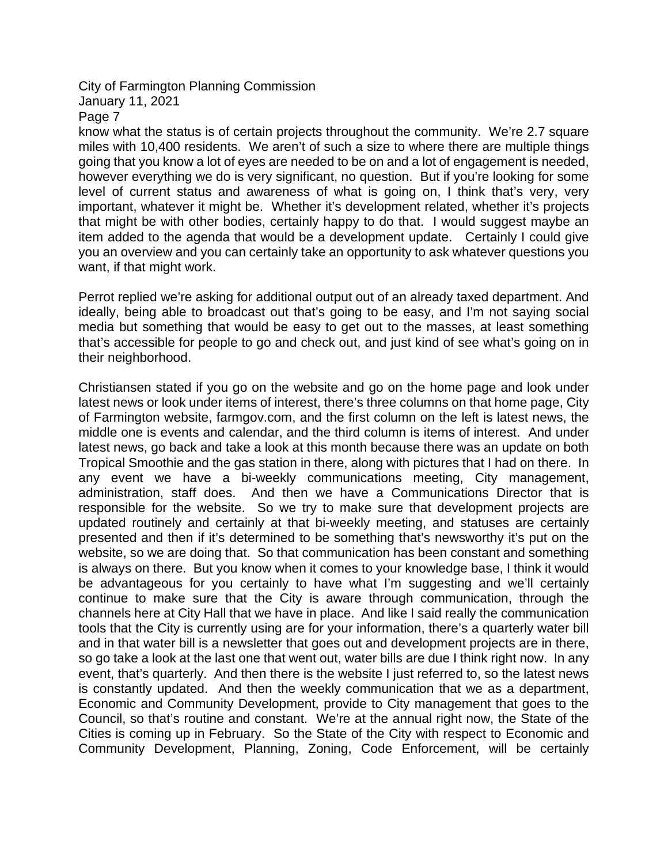Page 7

know what the status is of certain projects throughout the community. We're 2.7 square miles with 10,400 residents. We aren't of such a size to where there are multiple things going that you know a lot of eyes are needed to be on and a lot of engagement is needed, however everything we do is very significant, no question. But if you're looking for some level of current status and awareness of what is going on, I think that's very, very important, whatever it might be. Whether it's development related, whether it's projects that might be with other bodies, certainly happy to do that. I would suggest maybe an item added to the agenda that would be a development update. Certainly I could give you an overview and you can certainly take an opportunity to ask whatever questions you want, if that might work.

Perrot replied we're asking for additional output out of an already taxed department. And ideally, being able to broadcast out that's going to be easy, and I'm not saying social media but something that would be easy to get out to the masses, at least something that's accessible for people to go and check out, and just kind of see what's going on in their neighborhood.

Christiansen stated if you go on the website and go on the home page and look under latest news or look under items of interest, there's three columns on that home page, City of Farmington website, farmgov.com, and the first column on the left is latest news, the middle one is events and calendar, and the third column is items of interest. And under latest news, go back and take a look at this month because there was an update on both Tropical Smoothie and the gas station in there, along with pictures that I had on there. In any event we have a bi-weekly communications meeting, City management, administration, staff does. And then we have a Communications Director that is responsible for the website. So we try to make sure that development projects are updated routinely and certainly at that bi-weekly meeting, and statuses are certainly presented and then if it's determined to be something that's newsworthy it's put on the website, so we are doing that. So that communication has been constant and something is always on there. But you know when it comes to your knowledge base, I think it would be advantageous for you certainly to have what I'm suggesting and we'll certainly continue to make sure that the City is aware through communication, through the channels here at City Hall that we have in place. And like I said really the communication tools that the City is currently using are for your information, there's a quarterly water bill and in that water bill is a newsletter that goes out and development projects are in there, so go take a look at the last one that went out, water bills are due I think right now. In any event, that's quarterly. And then there is the website I just referred to, so the latest news is constantly updated. And then the weekly communication that we as a department, Economic and Community Development, provide to City management that goes to the Council, so that's routine and constant. We're at the annual right now, the State of the Cities is coming up in February. So the State of the City with respect to Economic and Community Development, Planning, Zoning, Code Enforcement, will be certainly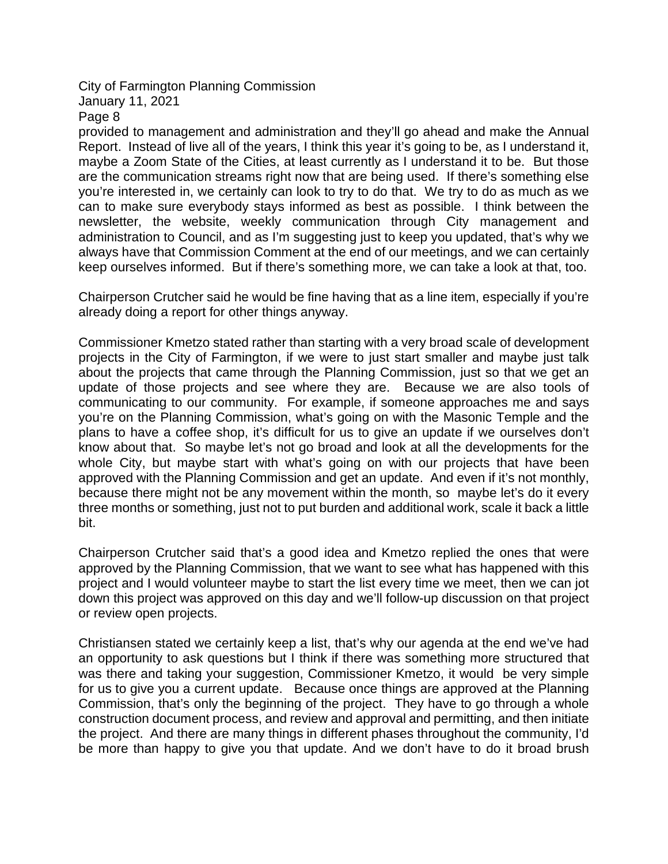Page 8

provided to management and administration and they'll go ahead and make the Annual Report. Instead of live all of the years, I think this year it's going to be, as I understand it, maybe a Zoom State of the Cities, at least currently as I understand it to be. But those are the communication streams right now that are being used. If there's something else you're interested in, we certainly can look to try to do that. We try to do as much as we can to make sure everybody stays informed as best as possible. I think between the newsletter, the website, weekly communication through City management and administration to Council, and as I'm suggesting just to keep you updated, that's why we always have that Commission Comment at the end of our meetings, and we can certainly keep ourselves informed. But if there's something more, we can take a look at that, too.

Chairperson Crutcher said he would be fine having that as a line item, especially if you're already doing a report for other things anyway.

Commissioner Kmetzo stated rather than starting with a very broad scale of development projects in the City of Farmington, if we were to just start smaller and maybe just talk about the projects that came through the Planning Commission, just so that we get an update of those projects and see where they are. Because we are also tools of communicating to our community. For example, if someone approaches me and says you're on the Planning Commission, what's going on with the Masonic Temple and the plans to have a coffee shop, it's difficult for us to give an update if we ourselves don't know about that. So maybe let's not go broad and look at all the developments for the whole City, but maybe start with what's going on with our projects that have been approved with the Planning Commission and get an update. And even if it's not monthly, because there might not be any movement within the month, so maybe let's do it every three months or something, just not to put burden and additional work, scale it back a little bit.

Chairperson Crutcher said that's a good idea and Kmetzo replied the ones that were approved by the Planning Commission, that we want to see what has happened with this project and I would volunteer maybe to start the list every time we meet, then we can jot down this project was approved on this day and we'll follow-up discussion on that project or review open projects.

Christiansen stated we certainly keep a list, that's why our agenda at the end we've had an opportunity to ask questions but I think if there was something more structured that was there and taking your suggestion, Commissioner Kmetzo, it would be very simple for us to give you a current update. Because once things are approved at the Planning Commission, that's only the beginning of the project. They have to go through a whole construction document process, and review and approval and permitting, and then initiate the project. And there are many things in different phases throughout the community, I'd be more than happy to give you that update. And we don't have to do it broad brush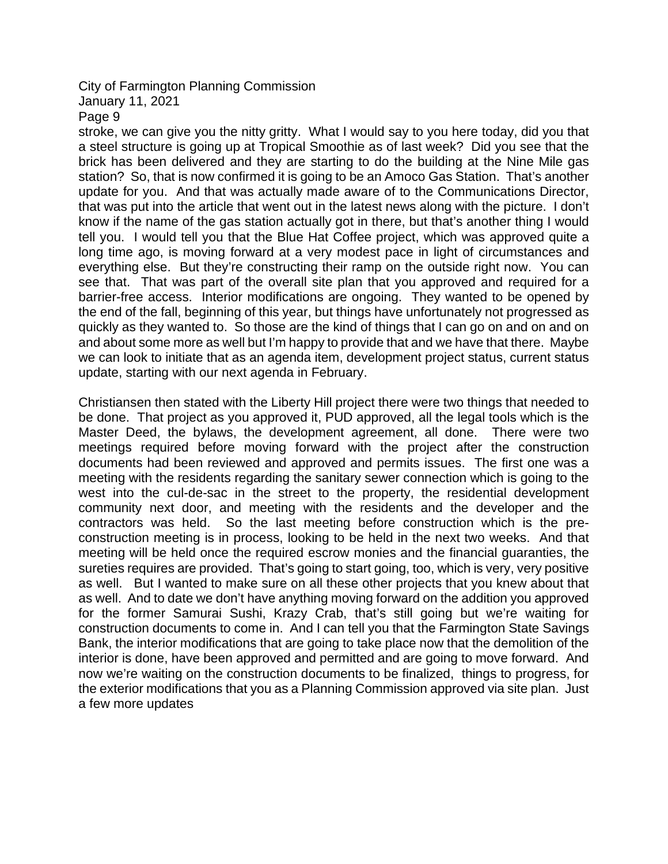January 11, 2021

Page 9

stroke, we can give you the nitty gritty. What I would say to you here today, did you that a steel structure is going up at Tropical Smoothie as of last week? Did you see that the brick has been delivered and they are starting to do the building at the Nine Mile gas station? So, that is now confirmed it is going to be an Amoco Gas Station. That's another update for you. And that was actually made aware of to the Communications Director, that was put into the article that went out in the latest news along with the picture. I don't know if the name of the gas station actually got in there, but that's another thing I would tell you. I would tell you that the Blue Hat Coffee project, which was approved quite a long time ago, is moving forward at a very modest pace in light of circumstances and everything else. But they're constructing their ramp on the outside right now. You can see that. That was part of the overall site plan that you approved and required for a barrier-free access. Interior modifications are ongoing. They wanted to be opened by the end of the fall, beginning of this year, but things have unfortunately not progressed as quickly as they wanted to. So those are the kind of things that I can go on and on and on and about some more as well but I'm happy to provide that and we have that there. Maybe we can look to initiate that as an agenda item, development project status, current status update, starting with our next agenda in February.

Christiansen then stated with the Liberty Hill project there were two things that needed to be done. That project as you approved it, PUD approved, all the legal tools which is the Master Deed, the bylaws, the development agreement, all done. There were two meetings required before moving forward with the project after the construction documents had been reviewed and approved and permits issues. The first one was a meeting with the residents regarding the sanitary sewer connection which is going to the west into the cul-de-sac in the street to the property, the residential development community next door, and meeting with the residents and the developer and the contractors was held. So the last meeting before construction which is the preconstruction meeting is in process, looking to be held in the next two weeks. And that meeting will be held once the required escrow monies and the financial guaranties, the sureties requires are provided. That's going to start going, too, which is very, very positive as well. But I wanted to make sure on all these other projects that you knew about that as well. And to date we don't have anything moving forward on the addition you approved for the former Samurai Sushi, Krazy Crab, that's still going but we're waiting for construction documents to come in. And I can tell you that the Farmington State Savings Bank, the interior modifications that are going to take place now that the demolition of the interior is done, have been approved and permitted and are going to move forward. And now we're waiting on the construction documents to be finalized, things to progress, for the exterior modifications that you as a Planning Commission approved via site plan. Just a few more updates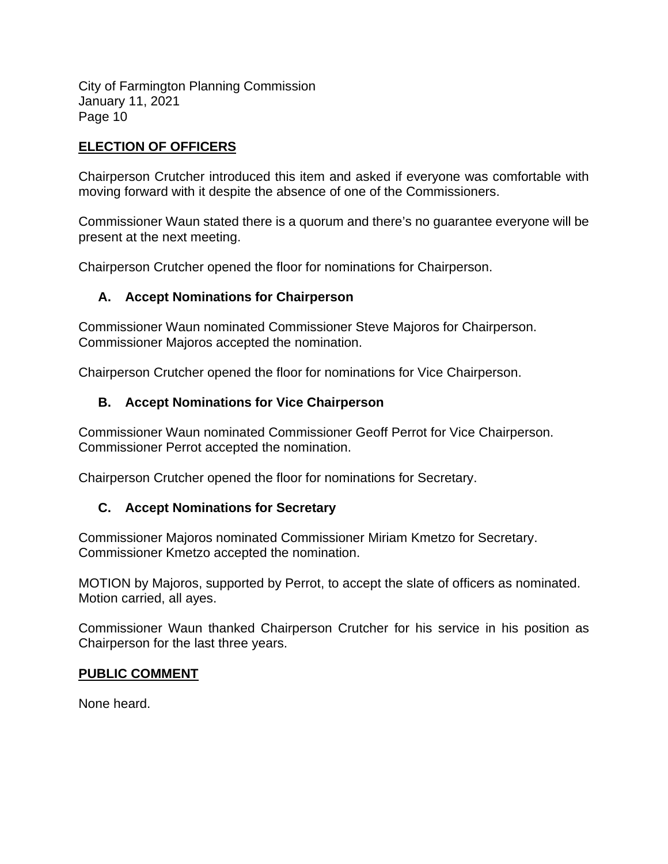### **ELECTION OF OFFICERS**

Chairperson Crutcher introduced this item and asked if everyone was comfortable with moving forward with it despite the absence of one of the Commissioners.

Commissioner Waun stated there is a quorum and there's no guarantee everyone will be present at the next meeting.

Chairperson Crutcher opened the floor for nominations for Chairperson.

# **A. Accept Nominations for Chairperson**

Commissioner Waun nominated Commissioner Steve Majoros for Chairperson. Commissioner Majoros accepted the nomination.

Chairperson Crutcher opened the floor for nominations for Vice Chairperson.

# **B. Accept Nominations for Vice Chairperson**

Commissioner Waun nominated Commissioner Geoff Perrot for Vice Chairperson. Commissioner Perrot accepted the nomination.

Chairperson Crutcher opened the floor for nominations for Secretary.

#### **C. Accept Nominations for Secretary**

Commissioner Majoros nominated Commissioner Miriam Kmetzo for Secretary. Commissioner Kmetzo accepted the nomination.

MOTION by Majoros, supported by Perrot, to accept the slate of officers as nominated. Motion carried, all ayes.

Commissioner Waun thanked Chairperson Crutcher for his service in his position as Chairperson for the last three years.

#### **PUBLIC COMMENT**

None heard.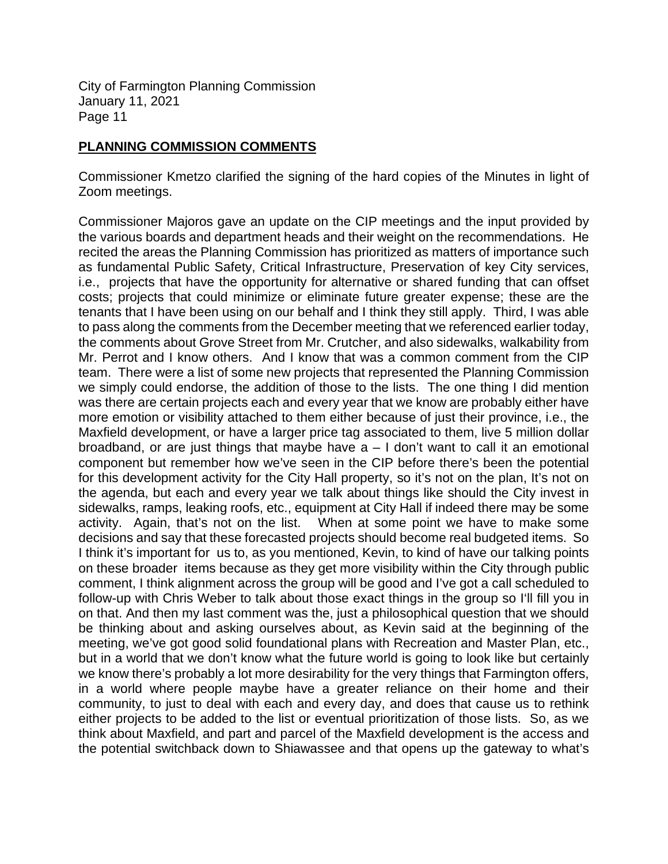#### **PLANNING COMMISSION COMMENTS**

Commissioner Kmetzo clarified the signing of the hard copies of the Minutes in light of Zoom meetings.

Commissioner Majoros gave an update on the CIP meetings and the input provided by the various boards and department heads and their weight on the recommendations. He recited the areas the Planning Commission has prioritized as matters of importance such as fundamental Public Safety, Critical Infrastructure, Preservation of key City services, i.e., projects that have the opportunity for alternative or shared funding that can offset costs; projects that could minimize or eliminate future greater expense; these are the tenants that I have been using on our behalf and I think they still apply. Third, I was able to pass along the comments from the December meeting that we referenced earlier today, the comments about Grove Street from Mr. Crutcher, and also sidewalks, walkability from Mr. Perrot and I know others. And I know that was a common comment from the CIP team. There were a list of some new projects that represented the Planning Commission we simply could endorse, the addition of those to the lists. The one thing I did mention was there are certain projects each and every year that we know are probably either have more emotion or visibility attached to them either because of just their province, i.e., the Maxfield development, or have a larger price tag associated to them, live 5 million dollar broadband, or are just things that maybe have  $a - 1$  don't want to call it an emotional component but remember how we've seen in the CIP before there's been the potential for this development activity for the City Hall property, so it's not on the plan, It's not on the agenda, but each and every year we talk about things like should the City invest in sidewalks, ramps, leaking roofs, etc., equipment at City Hall if indeed there may be some activity. Again, that's not on the list. When at some point we have to make some decisions and say that these forecasted projects should become real budgeted items. So I think it's important for us to, as you mentioned, Kevin, to kind of have our talking points on these broader items because as they get more visibility within the City through public comment, I think alignment across the group will be good and I've got a call scheduled to follow-up with Chris Weber to talk about those exact things in the group so I'll fill you in on that. And then my last comment was the, just a philosophical question that we should be thinking about and asking ourselves about, as Kevin said at the beginning of the meeting, we've got good solid foundational plans with Recreation and Master Plan, etc., but in a world that we don't know what the future world is going to look like but certainly we know there's probably a lot more desirability for the very things that Farmington offers, in a world where people maybe have a greater reliance on their home and their community, to just to deal with each and every day, and does that cause us to rethink either projects to be added to the list or eventual prioritization of those lists. So, as we think about Maxfield, and part and parcel of the Maxfield development is the access and the potential switchback down to Shiawassee and that opens up the gateway to what's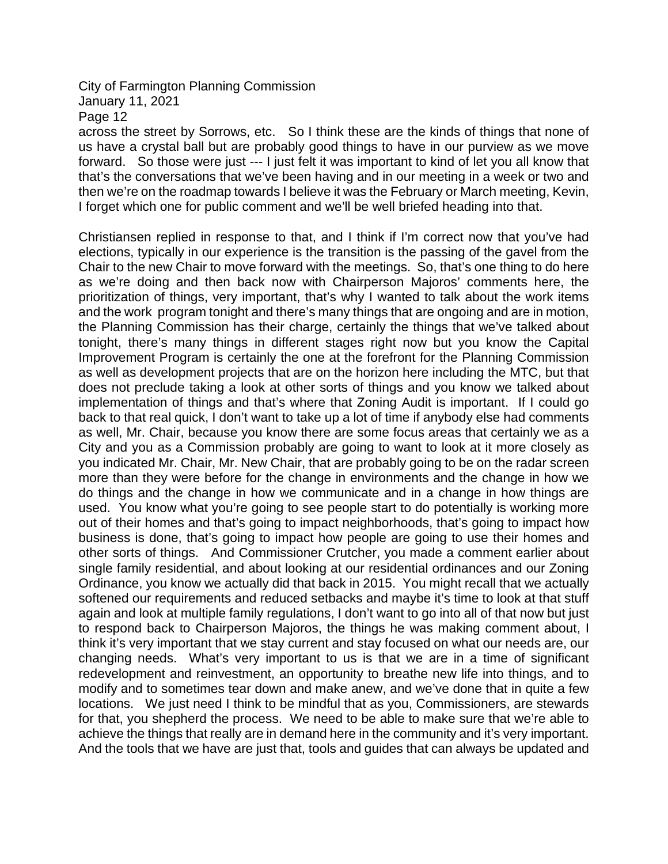January 11, 2021

Page 12

across the street by Sorrows, etc. So I think these are the kinds of things that none of us have a crystal ball but are probably good things to have in our purview as we move forward. So those were just --- I just felt it was important to kind of let you all know that that's the conversations that we've been having and in our meeting in a week or two and then we're on the roadmap towards I believe it was the February or March meeting, Kevin, I forget which one for public comment and we'll be well briefed heading into that.

Christiansen replied in response to that, and I think if I'm correct now that you've had elections, typically in our experience is the transition is the passing of the gavel from the Chair to the new Chair to move forward with the meetings. So, that's one thing to do here as we're doing and then back now with Chairperson Majoros' comments here, the prioritization of things, very important, that's why I wanted to talk about the work items and the work program tonight and there's many things that are ongoing and are in motion, the Planning Commission has their charge, certainly the things that we've talked about tonight, there's many things in different stages right now but you know the Capital Improvement Program is certainly the one at the forefront for the Planning Commission as well as development projects that are on the horizon here including the MTC, but that does not preclude taking a look at other sorts of things and you know we talked about implementation of things and that's where that Zoning Audit is important. If I could go back to that real quick, I don't want to take up a lot of time if anybody else had comments as well, Mr. Chair, because you know there are some focus areas that certainly we as a City and you as a Commission probably are going to want to look at it more closely as you indicated Mr. Chair, Mr. New Chair, that are probably going to be on the radar screen more than they were before for the change in environments and the change in how we do things and the change in how we communicate and in a change in how things are used. You know what you're going to see people start to do potentially is working more out of their homes and that's going to impact neighborhoods, that's going to impact how business is done, that's going to impact how people are going to use their homes and other sorts of things. And Commissioner Crutcher, you made a comment earlier about single family residential, and about looking at our residential ordinances and our Zoning Ordinance, you know we actually did that back in 2015. You might recall that we actually softened our requirements and reduced setbacks and maybe it's time to look at that stuff again and look at multiple family regulations, I don't want to go into all of that now but just to respond back to Chairperson Majoros, the things he was making comment about, I think it's very important that we stay current and stay focused on what our needs are, our changing needs. What's very important to us is that we are in a time of significant redevelopment and reinvestment, an opportunity to breathe new life into things, and to modify and to sometimes tear down and make anew, and we've done that in quite a few locations. We just need I think to be mindful that as you, Commissioners, are stewards for that, you shepherd the process. We need to be able to make sure that we're able to achieve the things that really are in demand here in the community and it's very important. And the tools that we have are just that, tools and guides that can always be updated and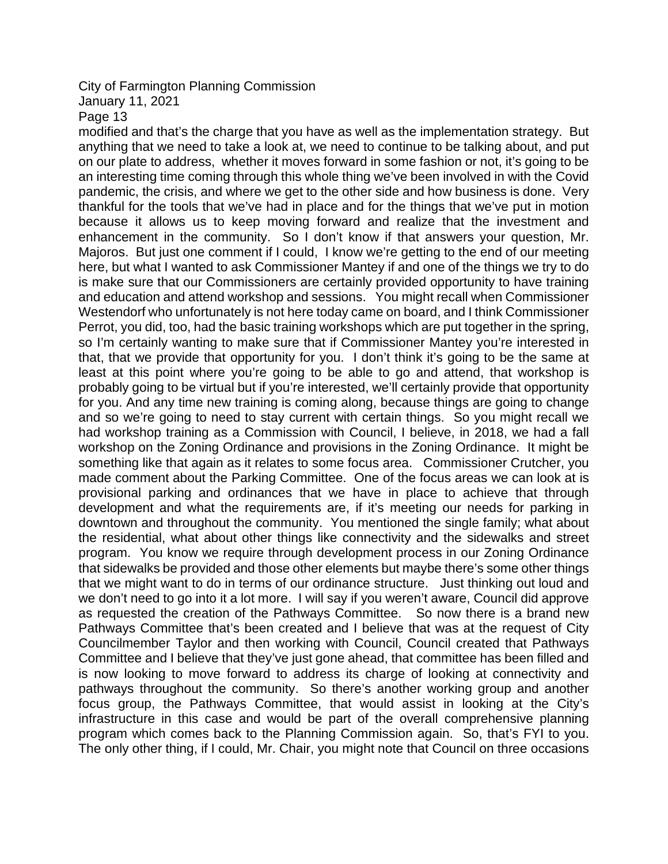### January 11, 2021

Page 13

modified and that's the charge that you have as well as the implementation strategy. But anything that we need to take a look at, we need to continue to be talking about, and put on our plate to address, whether it moves forward in some fashion or not, it's going to be an interesting time coming through this whole thing we've been involved in with the Covid pandemic, the crisis, and where we get to the other side and how business is done. Very thankful for the tools that we've had in place and for the things that we've put in motion because it allows us to keep moving forward and realize that the investment and enhancement in the community. So I don't know if that answers your question, Mr. Majoros. But just one comment if I could, I know we're getting to the end of our meeting here, but what I wanted to ask Commissioner Mantey if and one of the things we try to do is make sure that our Commissioners are certainly provided opportunity to have training and education and attend workshop and sessions. You might recall when Commissioner Westendorf who unfortunately is not here today came on board, and I think Commissioner Perrot, you did, too, had the basic training workshops which are put together in the spring, so I'm certainly wanting to make sure that if Commissioner Mantey you're interested in that, that we provide that opportunity for you. I don't think it's going to be the same at least at this point where you're going to be able to go and attend, that workshop is probably going to be virtual but if you're interested, we'll certainly provide that opportunity for you. And any time new training is coming along, because things are going to change and so we're going to need to stay current with certain things. So you might recall we had workshop training as a Commission with Council, I believe, in 2018, we had a fall workshop on the Zoning Ordinance and provisions in the Zoning Ordinance. It might be something like that again as it relates to some focus area. Commissioner Crutcher, you made comment about the Parking Committee. One of the focus areas we can look at is provisional parking and ordinances that we have in place to achieve that through development and what the requirements are, if it's meeting our needs for parking in downtown and throughout the community. You mentioned the single family; what about the residential, what about other things like connectivity and the sidewalks and street program. You know we require through development process in our Zoning Ordinance that sidewalks be provided and those other elements but maybe there's some other things that we might want to do in terms of our ordinance structure. Just thinking out loud and we don't need to go into it a lot more. I will say if you weren't aware, Council did approve as requested the creation of the Pathways Committee. So now there is a brand new Pathways Committee that's been created and I believe that was at the request of City Councilmember Taylor and then working with Council, Council created that Pathways Committee and I believe that they've just gone ahead, that committee has been filled and is now looking to move forward to address its charge of looking at connectivity and pathways throughout the community. So there's another working group and another focus group, the Pathways Committee, that would assist in looking at the City's infrastructure in this case and would be part of the overall comprehensive planning program which comes back to the Planning Commission again. So, that's FYI to you. The only other thing, if I could, Mr. Chair, you might note that Council on three occasions